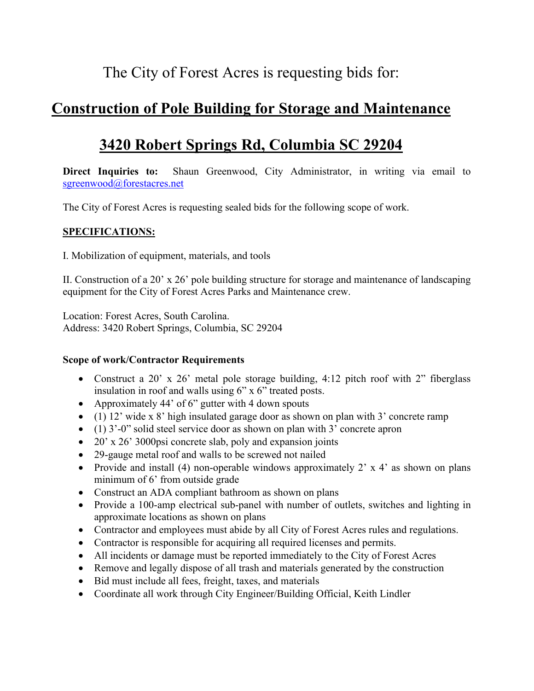# The City of Forest Acres is requesting bids for:

# **Construction of Pole Building for Storage and Maintenance**

# **3420 Robert Springs Rd, Columbia SC 29204**

**Direct Inquiries to:** Shaun Greenwood, City Administrator, in writing via email to [sgreenwood@forestacres.net](mailto:sgreenwood@forestacres.net)

The City of Forest Acres is requesting sealed bids for the following scope of work.

## **SPECIFICATIONS:**

I. Mobilization of equipment, materials, and tools

II. Construction of a 20' x 26' pole building structure for storage and maintenance of landscaping equipment for the City of Forest Acres Parks and Maintenance crew.

Location: Forest Acres, South Carolina. Address: 3420 Robert Springs, Columbia, SC 29204

## **Scope of work/Contractor Requirements**

- Construct a 20' x 26' metal pole storage building, 4:12 pitch roof with 2" fiberglass insulation in roof and walls using 6" x 6" treated posts.
- Approximately 44' of 6" gutter with 4 down spouts
- (1) 12' wide x 8' high insulated garage door as shown on plan with 3' concrete ramp
- (1) 3'-0" solid steel service door as shown on plan with 3' concrete apron
- 20' x 26' 3000psi concrete slab, poly and expansion joints
- 29-gauge metal roof and walls to be screwed not nailed
- Provide and install (4) non-operable windows approximately  $2' \times 4'$  as shown on plans minimum of 6' from outside grade
- Construct an ADA compliant bathroom as shown on plans
- Provide a 100-amp electrical sub-panel with number of outlets, switches and lighting in approximate locations as shown on plans
- Contractor and employees must abide by all City of Forest Acres rules and regulations.
- Contractor is responsible for acquiring all required licenses and permits.
- All incidents or damage must be reported immediately to the City of Forest Acres
- Remove and legally dispose of all trash and materials generated by the construction
- Bid must include all fees, freight, taxes, and materials
- Coordinate all work through City Engineer/Building Official, Keith Lindler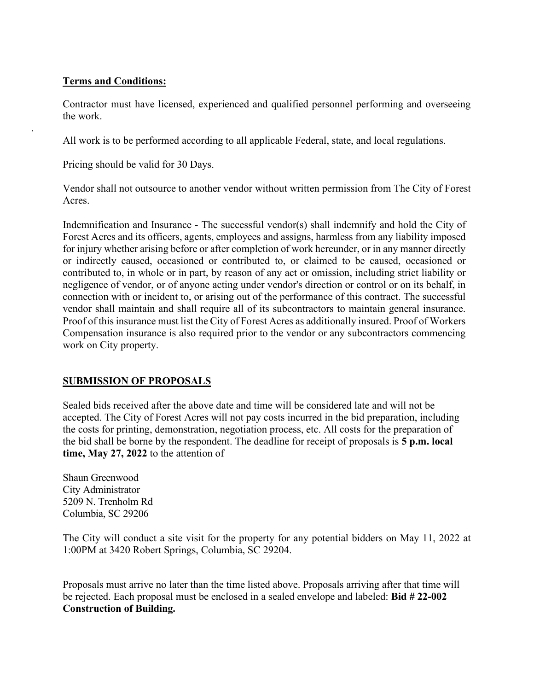## **Terms and Conditions:**

.

Contractor must have licensed, experienced and qualified personnel performing and overseeing the work.

All work is to be performed according to all applicable Federal, state, and local regulations.

Pricing should be valid for 30 Days.

Vendor shall not outsource to another vendor without written permission from The City of Forest Acres.

Indemnification and Insurance - The successful vendor(s) shall indemnify and hold the City of Forest Acres and its officers, agents, employees and assigns, harmless from any liability imposed for injury whether arising before or after completion of work hereunder, or in any manner directly or indirectly caused, occasioned or contributed to, or claimed to be caused, occasioned or contributed to, in whole or in part, by reason of any act or omission, including strict liability or negligence of vendor, or of anyone acting under vendor's direction or control or on its behalf, in connection with or incident to, or arising out of the performance of this contract. The successful vendor shall maintain and shall require all of its subcontractors to maintain general insurance. Proof of this insurance must list the City of Forest Acres as additionally insured. Proof of Workers Compensation insurance is also required prior to the vendor or any subcontractors commencing work on City property.

# **SUBMISSION OF PROPOSALS**

Sealed bids received after the above date and time will be considered late and will not be accepted. The City of Forest Acres will not pay costs incurred in the bid preparation, including the costs for printing, demonstration, negotiation process, etc. All costs for the preparation of the bid shall be borne by the respondent. The deadline for receipt of proposals is **5 p.m. local time, May 27, 2022** to the attention of

Shaun Greenwood City Administrator 5209 N. Trenholm Rd Columbia, SC 29206

The City will conduct a site visit for the property for any potential bidders on May 11, 2022 at 1:00PM at 3420 Robert Springs, Columbia, SC 29204.

Proposals must arrive no later than the time listed above. Proposals arriving after that time will be rejected. Each proposal must be enclosed in a sealed envelope and labeled: **Bid # 22-002 Construction of Building.**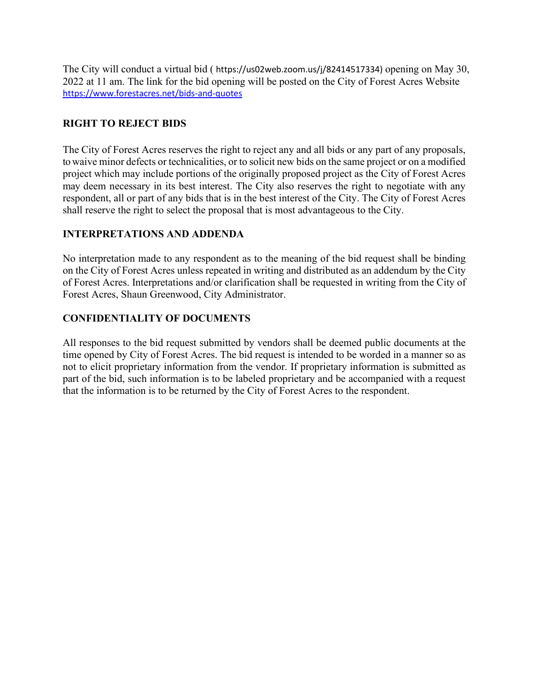The City will conduct a virtual bid ( https://us02web.zoom.us/j/82414517334) opening on May 30, 2022 at 11 am. The link for the bid opening will be posted on the City of Forest Acres Website <https://www.forestacres.net/bids-and-quotes>

## **RIGHT TO REJECT BIDS**

The City of Forest Acres reserves the right to reject any and all bids or any part of any proposals, to waive minor defects or technicalities, or to solicit new bids on the same project or on a modified project which may include portions of the originally proposed project as the City of Forest Acres may deem necessary in its best interest. The City also reserves the right to negotiate with any respondent, all or part of any bids that is in the best interest of the City. The City of Forest Acres shall reserve the right to select the proposal that is most advantageous to the City.

## **INTERPRETATIONS AND ADDENDA**

No interpretation made to any respondent as to the meaning of the bid request shall be binding on the City of Forest Acres unless repeated in writing and distributed as an addendum by the City of Forest Acres. Interpretations and/or clarification shall be requested in writing from the City of Forest Acres, Shaun Greenwood, City Administrator.

#### **CONFIDENTIALITY OF DOCUMENTS**

All responses to the bid request submitted by vendors shall be deemed public documents at the time opened by City of Forest Acres. The bid request is intended to be worded in a manner so as not to elicit proprietary information from the vendor. If proprietary information is submitted as part of the bid, such information is to be labeled proprietary and be accompanied with a request that the information is to be returned by the City of Forest Acres to the respondent.